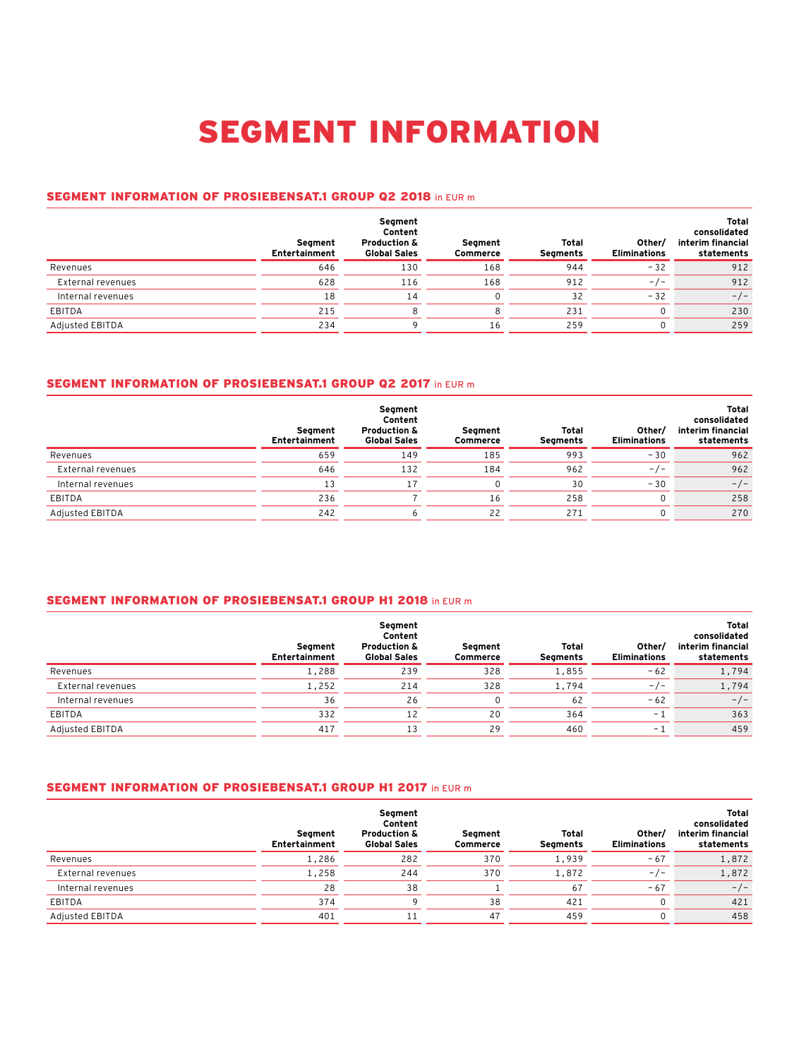# SEGMENT INFORMATION

## SEGMENT INFORMATION OF PROSIEBENSAT.1 GROUP Q2 2018 in EUR m

|                   | Seament<br><b>Entertainment</b> | Segment<br>Content<br><b>Production &amp;</b><br><b>Global Sales</b> | Segment<br>Commerce | Total<br><b>Segments</b> | Other/<br><b>Eliminations</b> | Total<br>consolidated<br>interim financial<br>statements |
|-------------------|---------------------------------|----------------------------------------------------------------------|---------------------|--------------------------|-------------------------------|----------------------------------------------------------|
| Revenues          | 646                             | 130                                                                  | 168                 | 944                      | $-32$                         | 912                                                      |
| External revenues | 628                             | 116                                                                  | 168                 | 912                      | $-/-$                         | 912                                                      |
| Internal revenues | 18                              | 14                                                                   |                     | 32                       | $-32$                         | $-/-$                                                    |
| EBITDA            | 215                             |                                                                      |                     | 231                      |                               | 230                                                      |
| Adjusted EBITDA   | 234                             |                                                                      | 16                  | 259                      |                               | 259                                                      |

# SEGMENT INFORMATION OF PROSIEBENSAT.1 GROUP Q2 2017 in EUR m

|                   | Seament<br><b>Entertainment</b> | Segment<br>Content<br><b>Production &amp;</b><br><b>Global Sales</b> | Seament<br>Commerce | Total<br>Segments | Other/<br><b>Eliminations</b> | Total<br>consolidated<br>interim financial<br>statements |
|-------------------|---------------------------------|----------------------------------------------------------------------|---------------------|-------------------|-------------------------------|----------------------------------------------------------|
| Revenues          | 659                             | 149                                                                  | 185                 | 993               | $-30$                         | 962                                                      |
| External revenues | 646                             | 132                                                                  | 184                 | 962               | $-/-$                         | 962                                                      |
| Internal revenues | 13                              |                                                                      |                     | 30                | $-30$                         | $-/-$                                                    |
| EBITDA            | 236                             |                                                                      | 16                  | 258               |                               | 258                                                      |
| Adjusted EBITDA   | 242                             |                                                                      | 22                  | 271               |                               | 270                                                      |

# SEGMENT INFORMATION OF PROSIEBENSAT.1 GROUP H1 2018 in EUR m

|                   | Seament<br>Entertainment | Segment<br>Content<br><b>Production &amp;</b><br><b>Global Sales</b> | Seament<br>Commerce | Total<br>Segments | Other/<br><b>Eliminations</b> | Total<br>consolidated<br>interim financial<br>statements |
|-------------------|--------------------------|----------------------------------------------------------------------|---------------------|-------------------|-------------------------------|----------------------------------------------------------|
| Revenues          | 1,288                    | 239                                                                  | 328                 | 1,855             | $-62$                         | 1,794                                                    |
| External revenues | 1,252                    | 214                                                                  | 328                 | 1,794             | $-/-$                         | 1,794                                                    |
| Internal revenues | 36                       | 26                                                                   |                     | 62                | $-62$                         | $-/-$                                                    |
| EBITDA            | 332                      | 12                                                                   | 20                  | 364               | $-$ 1                         | 363                                                      |
| Adjusted EBITDA   | 417                      | 13                                                                   | 29                  | 460               | - 1                           | 459                                                      |

#### SEGMENT INFORMATION OF PROSIEBENSAT.1 GROUP H1 2017 in EUR m

|                   | Segment<br>Entertainment | Segment<br>Content<br><b>Production &amp;</b><br><b>Global Sales</b> | Seament<br>Commerce | Total<br>Segments | Other/<br><b>Eliminations</b> | <b>Total</b><br>consolidated<br>interim financial<br>statements |
|-------------------|--------------------------|----------------------------------------------------------------------|---------------------|-------------------|-------------------------------|-----------------------------------------------------------------|
| Revenues          | 1,286                    | 282                                                                  | 370                 | 1,939             | $-67$                         | 1,872                                                           |
| External revenues | 1,258                    | 244                                                                  | 370                 | 1,872             | $-/-$                         | 1,872                                                           |
| Internal revenues | 28                       | 38                                                                   |                     | 67                | $-67$                         | $-/-$                                                           |
| EBITDA            | 374                      |                                                                      | 38                  | 421               | 0                             | 421                                                             |
| Adjusted EBITDA   | 401                      |                                                                      | 47                  | 459               |                               | 458                                                             |